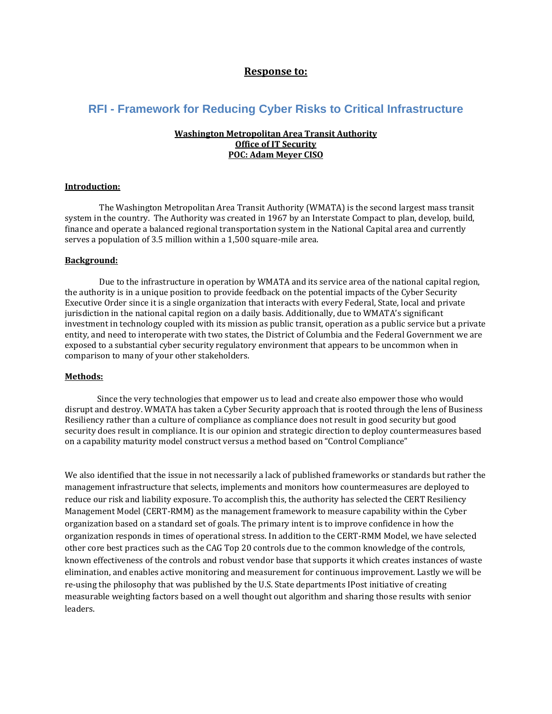# **Response to:**

# **RFI - Framework for Reducing Cyber Risks to Critical Infrastructure**

#### **Washington Metropolitan Area Transit Authority Office of IT Security POC: Adam Meyer CISO**

#### **Introduction:**

The Washington Metropolitan Area Transit Authority (WMATA) is the second largest mass transit system in the country. The Authority was created in 1967 by an Interstate Compact to plan, develop, build, finance and operate a balanced regional transportation system in the National Capital area and currently serves a population of 3.5 million within a 1,500 square-mile area.

#### **Background:**

Due to the infrastructure in operation by WMATA and its service area of the national capital region, the authority is in a unique position to provide feedback on the potential impacts of the Cyber Security Executive Order since it is a single organization that interacts with every Federal, State, local and private jurisdiction in the national capital region on a daily basis. Additionally, due to WMATA's significant investment in technology coupled with its mission as public transit, operation as a public service but a private entity, and need to interoperate with two states, the District of Columbia and the Federal Government we are exposed to a substantial cyber security regulatory environment that appears to be uncommon when in comparison to many of your other stakeholders.

#### **Methods:**

Since the very technologies that empower us to lead and create also empower those who would disrupt and destroy. WMATA has taken a Cyber Security approach that is rooted through the lens of Business Resiliency rather than a culture of compliance as compliance does not result in good security but good security does result in compliance. It is our opinion and strategic direction to deploy countermeasures based on a capability maturity model construct versus a method based on "Control Compliance"

We also identified that the issue in not necessarily a lack of published frameworks or standards but rather the management infrastructure that selects, implements and monitors how countermeasures are deployed to reduce our risk and liability exposure. To accomplish this, the authority has selected the CERT Resiliency Management Model (CERT-RMM) as the management framework to measure capability within the Cyber organization based on a standard set of goals. The primary intent is to improve confidence in how the organization responds in times of operational stress. In addition to the CERT-RMM Model, we have selected other core best practices such as the CAG Top 20 controls due to the common knowledge of the controls, known effectiveness of the controls and robust vendor base that supports it which creates instances of waste elimination, and enables active monitoring and measurement for continuous improvement. Lastly we will be re-using the philosophy that was published by the U.S. State departments IPost initiative of creating measurable weighting factors based on a well thought out algorithm and sharing those results with senior leaders.